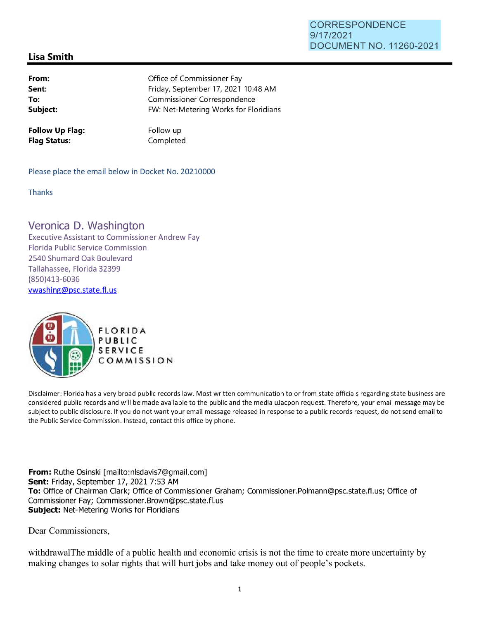## CORRESPONDENCE 9/17/2021 DOCUMENT NO. 11260-2021

## **Lisa Smith**

| From:    | Office of Commissioner Fay            |
|----------|---------------------------------------|
| Sent:    | Friday, September 17, 2021 10:48 AM   |
| To:      | Commissioner Correspondence           |
| Subject: | FW: Net-Metering Works for Floridians |
|          |                                       |

**Follow Up Flag: Flag Status:** 

Follow up Completed

Please place the email below in Docket No. 20210000

Thanks

## Veronica D. Washington

Executive Assistant to Commissioner Andrew Fay Florida Public Service Commission 2540 Shumard Oak Boulevard Tallahassee, Florida 32399 (850)413-6036 vwashing@psc.state.fl.us



Disclaimer: Florida has a very broad public records law. Most written communication to or from state officials regarding state business are considered public records and will be made available to the public and the media uJacpon request. Therefore, your email message may be subject to public disclosure. If you do not want your email message released in response to a public records request, do not send email to the Public Service Commission. Instead, contact this office by phone.

**From:** Ruthe Osinski [mailto:nlsdavis7@gmail.com] **Sent:** Friday, September 17, 2021 7:53 AM **To:** Office of Chairman Clark; Office of Commissioner Graham; Commissioner.Polmann@psc.state.fl.us; Office of Commissioner Fay; Com missioner. Brown@psc. state.fl. us **Subject:** Net-Metering Works for Floridians

Dear Commissioners,

withdrawalThe middle of a public health and economic crisis is not the time to create more uncertainty by making changes to solar rights that will hurt jobs and take money out of people's pockets.